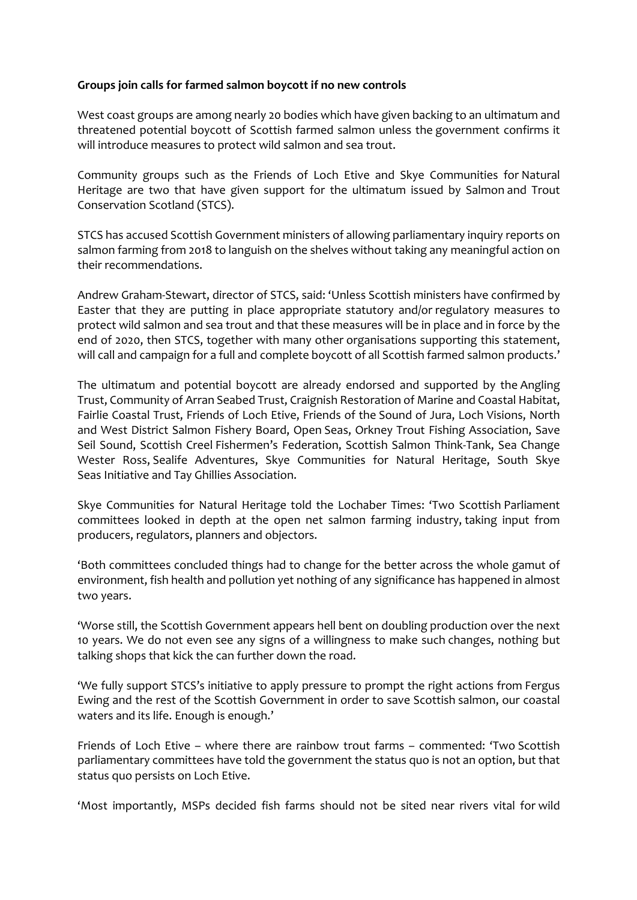## **Groups join calls for farmed salmon boycott if no new controls**

West coast groups are among nearly 20 bodies which have given backing to an ultimatum and threatened potential boycott of Scottish farmed salmon unless the government confirms it will introduce measures to protect wild salmon and sea trout.

Community groups such as the Friends of Loch Etive and Skye Communities for Natural Heritage are two that have given support for the ultimatum issued by Salmon and Trout Conservation Scotland (STCS).

STCS has accused Scottish Government ministers of allowing parliamentary inquiry reports on salmon farming from 2018 to languish on the shelves without taking any meaningful action on their recommendations.

Andrew Graham-Stewart, director of STCS, said: 'Unless Scottish ministers have confirmed by Easter that they are putting in place appropriate statutory and/or regulatory measures to protect wild salmon and sea trout and that these measures will be in place and in force by the end of 2020, then STCS, together with many other organisations supporting this statement, will call and campaign for a full and complete boycott of all Scottish farmed salmon products.'

The ultimatum and potential boycott are already endorsed and supported by the Angling Trust, Community of Arran Seabed Trust, Craignish Restoration of Marine and Coastal Habitat, Fairlie Coastal Trust, Friends of Loch Etive, Friends of the Sound of Jura, Loch Visions, North and West District Salmon Fishery Board, Open Seas, Orkney Trout Fishing Association, Save Seil Sound, Scottish Creel Fishermen's Federation, Scottish Salmon Think-Tank, Sea Change Wester Ross, Sealife Adventures, Skye Communities for Natural Heritage, South Skye Seas Initiative and Tay Ghillies Association.

Skye Communities for Natural Heritage told the Lochaber Times: 'Two Scottish Parliament committees looked in depth at the open net salmon farming industry, taking input from producers, regulators, planners and objectors.

'Both committees concluded things had to change for the better across the whole gamut of environment, fish health and pollution yet nothing of any significance has happened in almost two years.

'Worse still, the Scottish Government appears hell bent on doubling production over the next 10 years. We do not even see any signs of a willingness to make such changes, nothing but talking shops that kick the can further down the road.

'We fully support STCS's initiative to apply pressure to prompt the right actions from Fergus Ewing and the rest of the Scottish Government in order to save Scottish salmon, our coastal waters and its life. Enough is enough.'

Friends of Loch Etive – where there are rainbow trout farms – commented: 'Two Scottish parliamentary committees have told the government the status quo is not an option, but that status quo persists on Loch Etive.

'Most importantly, MSPs decided fish farms should not be sited near rivers vital for wild